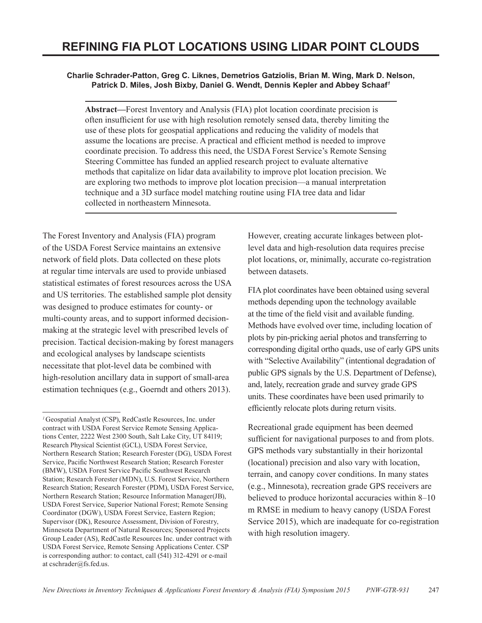#### **Charlie Schrader-Patton, Greg C. Liknes, Demetrios Gatziolis, Brian M. Wing, Mark D. Nelson, Patrick D. Miles, Josh Bixby, Daniel G. Wendt, Dennis Kepler and Abbey Schaaf***<sup>1</sup>*

**Abstract—**Forest Inventory and Analysis (FIA) plot location coordinate precision is often insufficient for use with high resolution remotely sensed data, thereby limiting the use of these plots for geospatial applications and reducing the validity of models that assume the locations are precise. A practical and efficient method is needed to improve coordinate precision. To address this need, the USDA Forest Service's Remote Sensing Steering Committee has funded an applied research project to evaluate alternative methods that capitalize on lidar data availability to improve plot location precision. We are exploring two methods to improve plot location precision—a manual interpretation technique and a 3D surface model matching routine using FIA tree data and lidar collected in northeastern Minnesota.

The Forest Inventory and Analysis (FIA) program of the USDA Forest Service maintains an extensive network of field plots. Data collected on these plots at regular time intervals are used to provide unbiased statistical estimates of forest resources across the USA and US territories. The established sample plot density was designed to produce estimates for county- or multi-county areas, and to support informed decisionmaking at the strategic level with prescribed levels of precision. Tactical decision-making by forest managers and ecological analyses by landscape scientists necessitate that plot-level data be combined with high-resolution ancillary data in support of small-area estimation techniques (e.g., Goerndt and others 2013).

However, creating accurate linkages between plotlevel data and high-resolution data requires precise plot locations, or, minimally, accurate co-registration between datasets.

FIA plot coordinates have been obtained using several methods depending upon the technology available at the time of the field visit and available funding. Methods have evolved over time, including location of plots by pin-pricking aerial photos and transferring to corresponding digital ortho quads, use of early GPS units with "Selective Availability" (intentional degradation of public GPS signals by the U.S. Department of Defense), and, lately, recreation grade and survey grade GPS units. These coordinates have been used primarily to efficiently relocate plots during return visits.

Recreational grade equipment has been deemed sufficient for navigational purposes to and from plots. GPS methods vary substantially in their horizontal (locational) precision and also vary with location, terrain, and canopy cover conditions. In many states (e.g., Minnesota), recreation grade GPS receivers are believed to produce horizontal accuracies within 8–10 m RMSE in medium to heavy canopy (USDA Forest Service 2015), which are inadequate for co-registration with high resolution imagery.

*<sup>1</sup>*Geospatial Analyst (CSP), RedCastle Resources, Inc. under contract with USDA Forest Service Remote Sensing Applications Center, 2222 West 2300 South, Salt Lake City, UT 84119; Research Physical Scientist (GCL), USDA Forest Service, Northern Research Station; Research Forester (DG), USDA Forest Service, Pacific Northwest Research Station; Research Forester (BMW), USDA Forest Service Pacific Southwest Research Station; Research Forester (MDN), U.S. Forest Service, Northern Research Station; Research Forester (PDM), USDA Forest Service, Northern Research Station; Resource Information Manager(JB), USDA Forest Service, Superior National Forest; Remote Sensing Coordinator (DGW), USDA Forest Service, Eastern Region; Supervisor (DK), Resource Assessment, Division of Forestry, Minnesota Department of Natural Resources; Sponsored Projects Group Leader (AS), RedCastle Resources Inc. under contract with USDA Forest Service, Remote Sensing Applications Center. CSP is corresponding author: to contact, call (541) 312-4291 or e-mail at [cschrader@fs.fed.us](mailto:cschrader@fs.fed.us).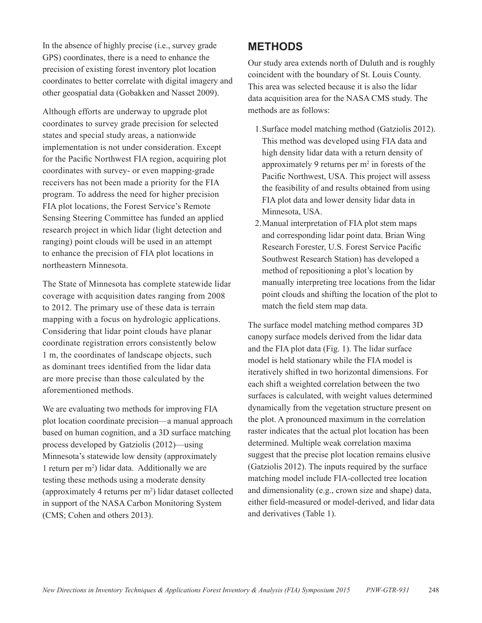In the absence of highly precise (i.e., survey grade GPS) coordinates, there is a need to enhance the precision of existing forest inventory plot location coordinates to better correlate with digital imagery and other geospatial data (Gobakken and Nasset 2009).

Although efforts are underway to upgrade plot coordinates to survey grade precision for selected states and special study areas, a nationwide implementation is not under consideration. Except for the Pacific Northwest FIA region, acquiring plot coordinates with survey- or even mapping-grade receivers has not been made a priority for the FIA program. To address the need for higher precision FIA plot locations, the Forest Service's Remote Sensing Steering Committee has funded an applied research project in which lidar (light detection and ranging) point clouds will be used in an attempt to enhance the precision of FIA plot locations in northeastern Minnesota.

The State of Minnesota has complete statewide lidar coverage with acquisition dates ranging from 2008 to 2012. The primary use of these data is terrain mapping with a focus on hydrologic applications. Considering that lidar point clouds have planar coordinate registration errors consistently below 1 m, the coordinates of landscape objects, such as dominant trees identified from the lidar data are more precise than those calculated by the aforementioned methods.

We are evaluating two methods for improving FIA plot location coordinate precision—a manual approach based on human cognition, and a 3D surface matching process developed by Gatziolis (2012)—using Minnesota's statewide low density (approximately 1 return per m2 ) lidar data. Additionally we are testing these methods using a moderate density (approximately 4 returns per m2 ) lidar dataset collected in support of the NASA Carbon Monitoring System (CMS; Cohen and others 2013).

#### **METHODS**

Our study area extends north of Duluth and is roughly coincident with the boundary of St. Louis County. This area was selected because it is also the lidar data acquisition area for the NASA CMS study. The methods are as follows:

- 1.Surface model matching method (Gatziolis 2012). This method was developed using FIA data and high density lidar data with a return density of approximately 9 returns per  $m<sup>2</sup>$  in forests of the Pacific Northwest, USA. This project will assess the feasibility of and results obtained from using FIA plot data and lower density lidar data in Minnesota, USA.
- 2.Manual interpretation of FIA plot stem maps and corresponding lidar point data. Brian Wing Research Forester, U.S. Forest Service Pacific Southwest Research Station) has developed a method of repositioning a plot's location by manually interpreting tree locations from the lidar point clouds and shifting the location of the plot to match the field stem map data.

The surface model matching method compares 3D canopy surface models derived from the lidar data and the FIA plot data (Fig. 1). The lidar surface model is held stationary while the FIA model is iteratively shifted in two horizontal dimensions. For each shift a weighted correlation between the two surfaces is calculated, with weight values determined dynamically from the vegetation structure present on the plot. A pronounced maximum in the correlation raster indicates that the actual plot location has been determined. Multiple weak correlation maxima suggest that the precise plot location remains elusive (Gatziolis 2012). The inputs required by the surface matching model include FIA-collected tree location and dimensionality (e.g., crown size and shape) data, either field-measured or model-derived, and lidar data and derivatives (Table 1).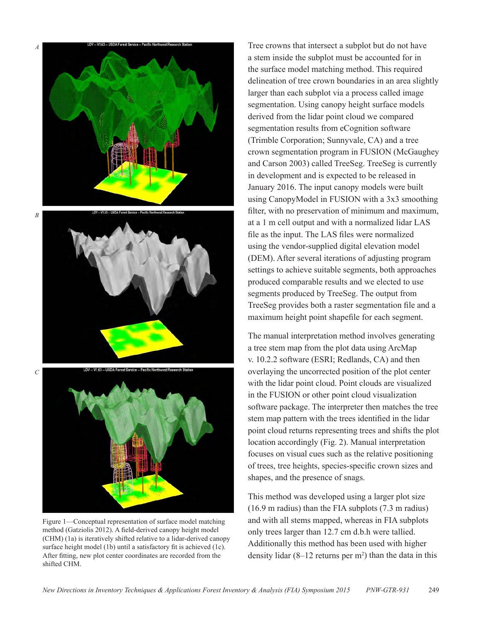

Figure 1—Conceptual representation of surface model matching method (Gatziolis 2012). A field-derived canopy height model (CHM) (1a) is iteratively shifted relative to a lidar-derived canopy surface height model (1b) until a satisfactory fit is achieved (1c). After fitting, new plot center coordinates are recorded from the shifted CHM.

Tree crowns that intersect a subplot but do not have a stem inside the subplot must be accounted for in the surface model matching method. This required delineation of tree crown boundaries in an area slightly larger than each subplot via a process called image segmentation. Using canopy height surface models derived from the lidar point cloud we compared segmentation results from eCognition software (Trimble Corporation; Sunnyvale, CA) and a tree crown segmentation program in FUSION (McGaughey and Carson 2003) called TreeSeg. TreeSeg is currently in development and is expected to be released in January 2016. The input canopy models were built using CanopyModel in FUSION with a 3x3 smoothing filter, with no preservation of minimum and maximum, at a 1 m cell output and with a normalized lidar LAS file as the input. The LAS files were normalized using the vendor-supplied digital elevation model (DEM). After several iterations of adjusting program settings to achieve suitable segments, both approaches produced comparable results and we elected to use segments produced by TreeSeg. The output from TreeSeg provides both a raster segmentation file and a maximum height point shapefile for each segment.

The manual interpretation method involves generating a tree stem map from the plot data using ArcMap v. 10.2.2 software (ESRI; Redlands, CA) and then overlaying the uncorrected position of the plot center with the lidar point cloud. Point clouds are visualized in the FUSION or other point cloud visualization software package. The interpreter then matches the tree stem map pattern with the trees identified in the lidar point cloud returns representing trees and shifts the plot location accordingly (Fig. 2). Manual interpretation focuses on visual cues such as the relative positioning of trees, tree heights, species-specific crown sizes and shapes, and the presence of snags.

This method was developed using a larger plot size (16.9 m radius) than the FIA subplots (7.3 m radius) and with all stems mapped, whereas in FIA subplots only trees larger than 12.7 cm d.b.h were tallied. Additionally this method has been used with higher density lidar  $(8-12 \text{ returns per m}^2)$  than the data in this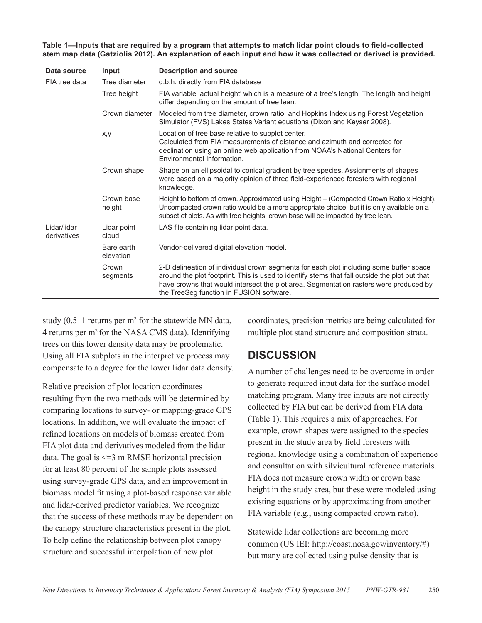**Table 1—Inputs that are required by a program that attempts to match lidar point clouds to field-collected stem map data (Gatziolis 2012). An explanation of each input and how it was collected or derived is provided.**

| Data source                | Input                   | <b>Description and source</b>                                                                                                                                                                                                                                                                                                |
|----------------------------|-------------------------|------------------------------------------------------------------------------------------------------------------------------------------------------------------------------------------------------------------------------------------------------------------------------------------------------------------------------|
| FIA tree data              | Tree diameter           | d.b.h. directly from FIA database                                                                                                                                                                                                                                                                                            |
|                            | Tree height             | FIA variable 'actual height' which is a measure of a tree's length. The length and height<br>differ depending on the amount of tree lean.                                                                                                                                                                                    |
|                            | Crown diameter          | Modeled from tree diameter, crown ratio, and Hopkins Index using Forest Vegetation<br>Simulator (FVS) Lakes States Variant equations (Dixon and Keyser 2008).                                                                                                                                                                |
|                            | x,y                     | Location of tree base relative to subplot center.<br>Calculated from FIA measurements of distance and azimuth and corrected for<br>declination using an online web application from NOAA's National Centers for<br>Environmental Information.                                                                                |
|                            | Crown shape             | Shape on an ellipsoidal to conical gradient by tree species. Assignments of shapes<br>were based on a majority opinion of three field-experienced foresters with regional<br>knowledge.                                                                                                                                      |
|                            | Crown base<br>height    | Height to bottom of crown. Approximated using Height – (Compacted Crown Ratio x Height).<br>Uncompacted crown ratio would be a more appropriate choice, but it is only available on a<br>subset of plots. As with tree heights, crown base will be impacted by tree lean.                                                    |
| Lidar/lidar<br>derivatives | Lidar point<br>cloud    | LAS file containing lidar point data.                                                                                                                                                                                                                                                                                        |
|                            | Bare earth<br>elevation | Vendor-delivered digital elevation model.                                                                                                                                                                                                                                                                                    |
|                            | Crown<br>segments       | 2-D delineation of individual crown segments for each plot including some buffer space<br>around the plot footprint. This is used to identify stems that fall outside the plot but that<br>have crowns that would intersect the plot area. Segmentation rasters were produced by<br>the TreeSeg function in FUSION software. |

study  $(0.5-1$  returns per m<sup>2</sup> for the statewide MN data, 4 returns per m2 for the NASA CMS data). Identifying trees on this lower density data may be problematic. Using all FIA subplots in the interpretive process may compensate to a degree for the lower lidar data density.

Relative precision of plot location coordinates resulting from the two methods will be determined by comparing locations to survey- or mapping-grade GPS locations. In addition, we will evaluate the impact of refined locations on models of biomass created from FIA plot data and derivatives modeled from the lidar data. The goal is <=3 m RMSE horizontal precision for at least 80 percent of the sample plots assessed using survey-grade GPS data, and an improvement in biomass model fit using a plot-based response variable and lidar-derived predictor variables. We recognize that the success of these methods may be dependent on the canopy structure characteristics present in the plot. To help define the relationship between plot canopy structure and successful interpolation of new plot

coordinates, precision metrics are being calculated for multiple plot stand structure and composition strata.

## **DISCUSSION**

A number of challenges need to be overcome in order to generate required input data for the surface model matching program. Many tree inputs are not directly collected by FIA but can be derived from FIA data (Table 1). This requires a mix of approaches. For example, crown shapes were assigned to the species present in the study area by field foresters with regional knowledge using a combination of experience and consultation with silvicultural reference materials. FIA does not measure crown width or crown base height in the study area, but these were modeled using existing equations or by approximating from another FIA variable (e.g., using compacted crown ratio).

Statewide lidar collections are becoming more common (US IEI: [http://coast.noaa.gov/inventory/#\)](http://coast.noaa.gov/inventory/) but many are collected using pulse density that is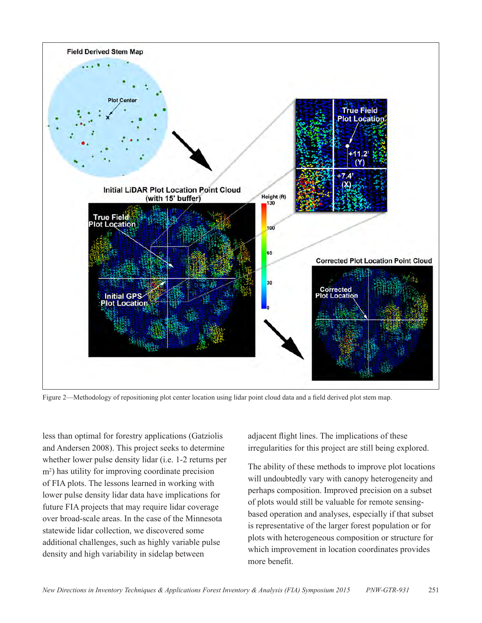

Figure 2—Methodology of repositioning plot center location using lidar point cloud data and a field derived plot stem map.

less than optimal for forestry applications (Gatziolis and Andersen 2008). This project seeks to determine whether lower pulse density lidar (i.e. 1-2 returns per m<sup>2</sup> ) has utility for improving coordinate precision of FIA plots. The lessons learned in working with lower pulse density lidar data have implications for future FIA projects that may require lidar coverage over broad-scale areas. In the case of the Minnesota statewide lidar collection, we discovered some additional challenges, such as highly variable pulse density and high variability in sidelap between

adjacent flight lines. The implications of these irregularities for this project are still being explored.

The ability of these methods to improve plot locations will undoubtedly vary with canopy heterogeneity and perhaps composition. Improved precision on a subset of plots would still be valuable for remote sensingbased operation and analyses, especially if that subset is representative of the larger forest population or for plots with heterogeneous composition or structure for which improvement in location coordinates provides more benefit.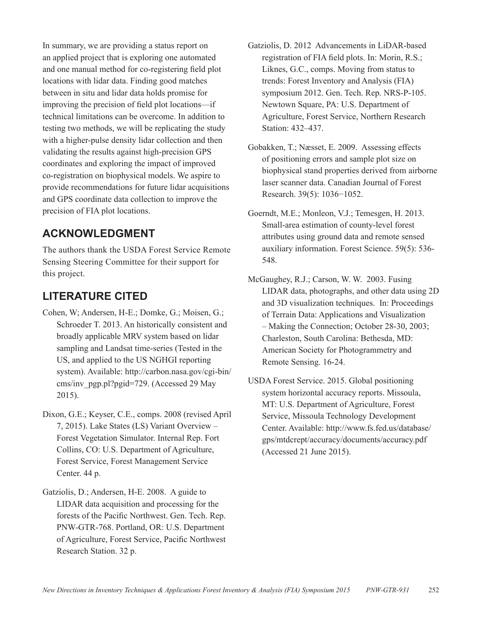In summary, we are providing a status report on an applied project that is exploring one automated and one manual method for co-registering field plot locations with lidar data. Finding good matches between in situ and lidar data holds promise for improving the precision of field plot locations—if technical limitations can be overcome. In addition to testing two methods, we will be replicating the study with a higher-pulse density lidar collection and then validating the results against high-precision GPS coordinates and exploring the impact of improved co-registration on biophysical models. We aspire to provide recommendations for future lidar acquisitions and GPS coordinate data collection to improve the precision of FIA plot locations.

## **ACKNOWLEDGMENT**

The authors thank the USDA Forest Service Remote Sensing Steering Committee for their support for this project.

## **LITERATURE CITED**

- Cohen, W; Andersen, H-E.; Domke, G.; Moisen, G.; Schroeder T. 2013. An historically consistent and broadly applicable MRV system based on lidar sampling and Landsat time-series (Tested in the US, and applied to the US NGHGI reporting system). Available: [http://carbon.nasa.gov/cgi-bin/](http://carbon.nasa.gov/cgi-bin/cms/inv_pgp.pl?pgid=729) [cms/inv\\_pgp.pl?pgid=729](http://carbon.nasa.gov/cgi-bin/cms/inv_pgp.pl?pgid=729). (Accessed 29 May 2015).
- Dixon, G.E.; Keyser, C.E., comps. 2008 (revised April 7, 2015). Lake States (LS) Variant Overview – Forest Vegetation Simulator. Internal Rep. Fort Collins, CO: U.S. Department of Agriculture, Forest Service, Forest Management Service Center. 44 p.
- Gatziolis, D.; Andersen, H-E. 2008. A guide to LIDAR data acquisition and processing for the forests of the Pacific Northwest. Gen. Tech. Rep. PNW-GTR-768. Portland, OR: U.S. Department of Agriculture, Forest Service, Pacific Northwest Research Station. 32 p.
- Gatziolis, D. 2012 Advancements in LiDAR-based registration of FIA field plots. In: Morin, R.S.; Liknes, G.C., comps. Moving from status to trends: Forest Inventory and Analysis (FIA) symposium 2012. Gen. Tech. Rep. NRS-P-105. Newtown Square, PA: U.S. Department of Agriculture, Forest Service, Northern Research Station: 432–437.
- Gobakken, T.; Næsset, E. 2009. Assessing effects of positioning errors and sample plot size on biophysical stand properties derived from airborne laser scanner data. Canadian Journal of Forest Research. 39(5): 1036−1052.
- Goerndt, M.E.; Monleon, V.J.; Temesgen, H. 2013. Small-area estimation of county-level forest attributes using ground data and remote sensed auxiliary information. Forest Science. 59(5): 536- 548.
- McGaughey, R.J.; Carson, W. W. 2003. Fusing LIDAR data, photographs, and other data using 2D and 3D visualization techniques. In: Proceedings of Terrain Data: Applications and Visualization – Making the Connection; October 28-30, 2003; Charleston, South Carolina: Bethesda, MD: American Society for Photogrammetry and Remote Sensing. 16-24.
- USDA Forest Service. 2015. Global positioning system horizontal accuracy reports. Missoula, MT: U.S. Department of Agriculture, Forest Service, Missoula Technology Development Center. Available: [http://www.fs.fed.us/database/](http://www.fs.fed.us/database/gps/mtdcrept/accuracy/documents/accuracy.pdf) [gps/mtdcrept/accuracy/documents/accuracy.pdf](http://www.fs.fed.us/database/gps/mtdcrept/accuracy/documents/accuracy.pdf) (Accessed 21 June 2015).